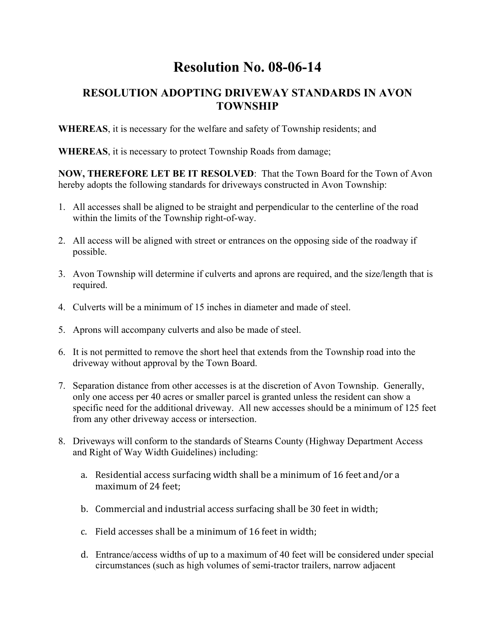## **Resolution No. 08-06-14**

## **RESOLUTION ADOPTING DRIVEWAY STANDARDS IN AVON TOWNSHIP**

**WHEREAS**, it is necessary for the welfare and safety of Township residents; and

**WHEREAS**, it is necessary to protect Township Roads from damage;

**NOW, THEREFORE LET BE IT RESOLVED**: That the Town Board for the Town of Avon hereby adopts the following standards for driveways constructed in Avon Township:

- 1. All accesses shall be aligned to be straight and perpendicular to the centerline of the road within the limits of the Township right-of-way.
- 2. All access will be aligned with street or entrances on the opposing side of the roadway if possible.
- 3. Avon Township will determine if culverts and aprons are required, and the size/length that is required.
- 4. Culverts will be a minimum of 15 inches in diameter and made of steel.
- 5. Aprons will accompany culverts and also be made of steel.
- 6. It is not permitted to remove the short heel that extends from the Township road into the driveway without approval by the Town Board.
- 7. Separation distance from other accesses is at the discretion of Avon Township. Generally, only one access per 40 acres or smaller parcel is granted unless the resident can show a specific need for the additional driveway. All new accesses should be a minimum of 125 feet from any other driveway access or intersection.
- 8. Driveways will conform to the standards of Stearns County (Highway Department Access and Right of Way Width Guidelines) including:
	- a. Residential access surfacing width shall be a minimum of 16 feet and/or a maximum of 24 feet;
	- b. Commercial and industrial access surfacing shall be 30 feet in width;
	- c. Field accesses shall be a minimum of 16 feet in width;
	- d. Entrance/access widths of up to a maximum of 40 feet will be considered under special circumstances (such as high volumes of semi-tractor trailers, narrow adjacent